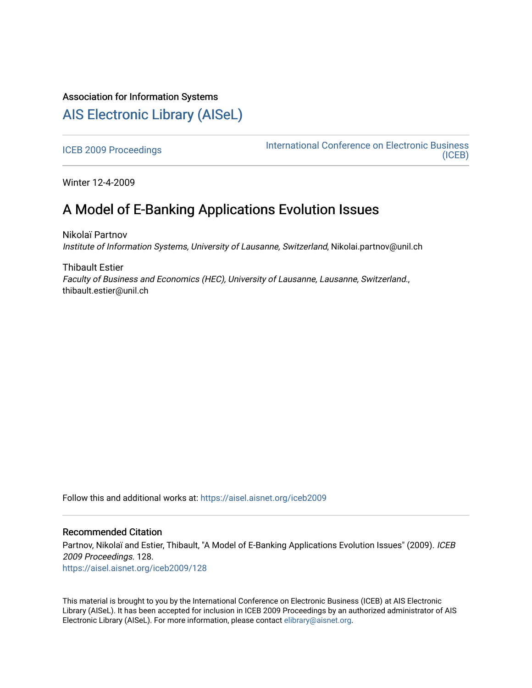## Association for Information Systems

# [AIS Electronic Library \(AISeL\)](https://aisel.aisnet.org/)

[ICEB 2009 Proceedings](https://aisel.aisnet.org/iceb2009) **International Conference on Electronic Business** [\(ICEB\)](https://aisel.aisnet.org/iceb) 

Winter 12-4-2009

## A Model of E-Banking Applications Evolution Issues

Nikolaï Partnov Institute of Information Systems, University of Lausanne, Switzerland, Nikolai.partnov@unil.ch

Thibault Estier Faculty of Business and Economics (HEC), University of Lausanne, Lausanne, Switzerland., thibault.estier@unil.ch

Follow this and additional works at: [https://aisel.aisnet.org/iceb2009](https://aisel.aisnet.org/iceb2009?utm_source=aisel.aisnet.org%2Ficeb2009%2F128&utm_medium=PDF&utm_campaign=PDFCoverPages)

### Recommended Citation

Partnov, Nikolaï and Estier, Thibault, "A Model of E-Banking Applications Evolution Issues" (2009). ICEB 2009 Proceedings. 128. [https://aisel.aisnet.org/iceb2009/128](https://aisel.aisnet.org/iceb2009/128?utm_source=aisel.aisnet.org%2Ficeb2009%2F128&utm_medium=PDF&utm_campaign=PDFCoverPages)

This material is brought to you by the International Conference on Electronic Business (ICEB) at AIS Electronic Library (AISeL). It has been accepted for inclusion in ICEB 2009 Proceedings by an authorized administrator of AIS Electronic Library (AISeL). For more information, please contact [elibrary@aisnet.org.](mailto:elibrary@aisnet.org%3E)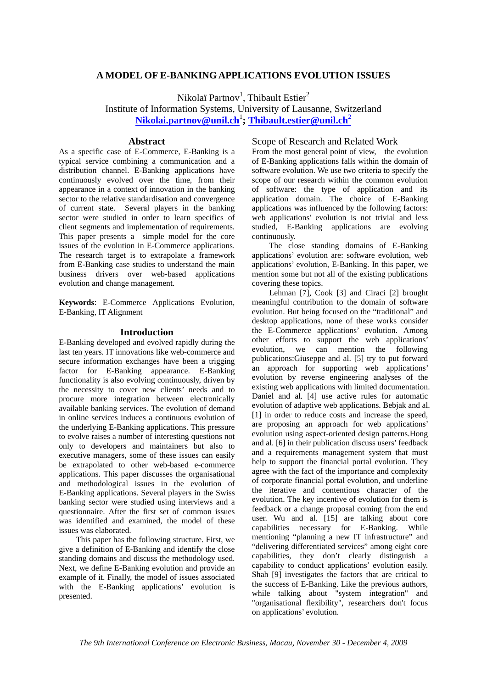## **A MODEL OF E-BANKING APPLICATIONS EVOLUTION ISSUES**

Nikolaï Partnov<sup>1</sup>, Thibault Estier<sup>2</sup>

Institute of Information Systems, University of Lausanne, Switzerland

**Nikolai.partnov@unil.ch**<sup>1</sup> **; Thibault.estier@unil.ch**<sup>2</sup>

### **Abstract**

As a specific case of E-Commerce, E-Banking is a typical service combining a communication and a distribution channel. E-Banking applications have continuously evolved over the time, from their appearance in a context of innovation in the banking sector to the relative standardisation and convergence of current state. Several players in the banking sector were studied in order to learn specifics of client segments and implementation of requirements. This paper presents a simple model for the core issues of the evolution in E-Commerce applications. The research target is to extrapolate a framework from E-Banking case studies to understand the main business drivers over web-based applications evolution and change management.

**Keywords**: E-Commerce Applications Evolution, E-Banking, IT Alignment

#### **Introduction**

E-Banking developed and evolved rapidly during the last ten years. IT innovations like web-commerce and secure information exchanges have been a trigging factor for E-Banking appearance. E-Banking functionality is also evolving continuously, driven by the necessity to cover new clients' needs and to procure more integration between electronically available banking services. The evolution of demand in online services induces a continuous evolution of the underlying E-Banking applications. This pressure to evolve raises a number of interesting questions not only to developers and maintainers but also to executive managers, some of these issues can easily be extrapolated to other web-based e-commerce applications. This paper discusses the organisational and methodological issues in the evolution of E-Banking applications. Several players in the Swiss banking sector were studied using interviews and a questionnaire. After the first set of common issues was identified and examined, the model of these issues was elaborated.

 This paper has the following structure. First, we give a definition of E-Banking and identify the close standing domains and discuss the methodology used. Next, we define E-Banking evolution and provide an example of it. Finally, the model of issues associated with the E-Banking applications' evolution is presented.

## Scope of Research and Related Work

From the most general point of view, the evolution of E-Banking applications falls within the domain of software evolution. We use two criteria to specify the scope of our research within the common evolution of software: the type of application and its application domain. The choice of E-Banking applications was influenced by the following factors: web applications' evolution is not trivial and less studied, E-Banking applications are evolving continuously.

The close standing domains of E-Banking applications' evolution are: software evolution, web applications' evolution, E-Banking. In this paper, we mention some but not all of the existing publications covering these topics.

Lehman [7], Cook [3] and Ciraci [2] brought meaningful contribution to the domain of software evolution. But being focused on the "traditional" and desktop applications, none of these works consider the E-Commerce applications' evolution. Among other efforts to support the web applications' evolution, we can mention the following publications:Giuseppe and al. [5] try to put forward an approach for supporting web applications' evolution by reverse engineering analyses of the existing web applications with limited documentation. Daniel and al. [4] use active rules for automatic evolution of adaptive web applications. Bebjak and al. [1] in order to reduce costs and increase the speed, are proposing an approach for web applications' evolution using aspect-oriented design patterns.Hong and al. [6] in their publication discuss users' feedback and a requirements management system that must help to support the financial portal evolution. They agree with the fact of the importance and complexity of corporate financial portal evolution, and underline the iterative and contentious character of the evolution. The key incentive of evolution for them is feedback or a change proposal coming from the end user. Wu and al. [15] are talking about core capabilities necessary for E-Banking. While mentioning "planning a new IT infrastructure" and "delivering differentiated services" among eight core capabilities, they don't clearly distinguish a capability to conduct applications' evolution easily. Shah [9] investigates the factors that are critical to the success of E-Banking. Like the previous authors, while talking about "system integration" and "organisational flexibility", researchers don't focus on applications' evolution.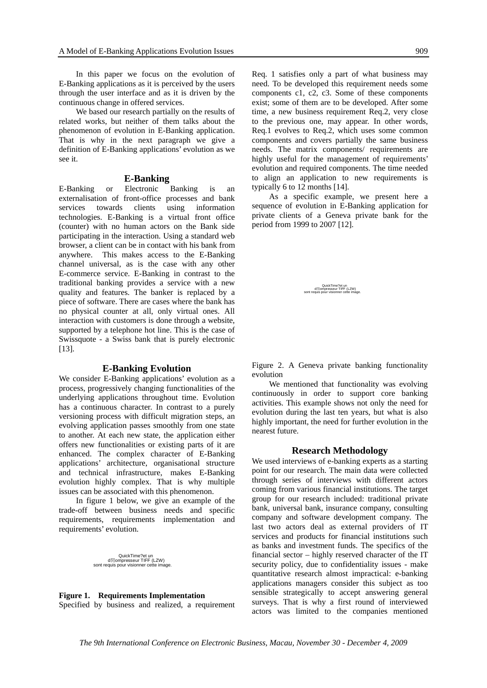In this paper we focus on the evolution of E-Banking applications as it is perceived by the users through the user interface and as it is driven by the continuous change in offered services.

We based our research partially on the results of related works, but neither of them talks about the phenomenon of evolution in E-Banking application. That is why in the next paragraph we give a definition of E-Banking applications' evolution as we see it.

#### **E-Banking**

E-Banking or Electronic Banking is an externalisation of front-office processes and bank services towards clients using information technologies. E-Banking is a virtual front office (counter) with no human actors on the Bank side participating in the interaction. Using a standard web browser, a client can be in contact with his bank from anywhere. This makes access to the E-Banking channel universal, as is the case with any other E-commerce service. E-Banking in contrast to the traditional banking provides a service with a new quality and features. The banker is replaced by a piece of software. There are cases where the bank has no physical counter at all, only virtual ones. All interaction with customers is done through a website, supported by a telephone hot line. This is the case of Swissquote - a Swiss bank that is purely electronic [13].

#### **E-Banking Evolution**

We consider E-Banking applications' evolution as a process, progressively changing functionalities of the underlying applications throughout time. Evolution has a continuous character. In contrast to a purely versioning process with difficult migration steps, an evolving application passes smoothly from one state to another. At each new state, the application either offers new functionalities or existing parts of it are enhanced. The complex character of E-Banking applications' architecture, organisational structure and technical infrastructure, makes E-Banking evolution highly complex. That is why multiple issues can be associated with this phenomenon.

In figure 1 below, we give an example of the trade-off between business needs and specific requirements, requirements implementation and requirements' evolution.

> QuickTime?et un d閏ompresseur TIFF (LZW) sont requis pour visionner cette image.

**Figure 1. Requirements Implementation**  Specified by business and realized, a requirement Req. 1 satisfies only a part of what business may need. To be developed this requirement needs some components c1, c2, c3. Some of these components exist; some of them are to be developed. After some time, a new business requirement Req.2, very close to the previous one, may appear. In other words, Req.1 evolves to Req.2, which uses some common components and covers partially the same business needs. The matrix components/ requirements are highly useful for the management of requirements' evolution and required components. The time needed to align an application to new requirements is typically 6 to 12 months [14].

As a specific example, we present here a sequence of evolution in E-Banking application for private clients of a Geneva private bank for the period from 1999 to 2007 [12].

> QuickTime?et un<br>ompresseur TIFF (LZW) sont requis pour visionner cette image.

Figure 2. A Geneva private banking functionality evolution

We mentioned that functionality was evolving continuously in order to support core banking activities. This example shows not only the need for evolution during the last ten years, but what is also highly important, the need for further evolution in the nearest future.

#### **Research Methodology**

We used interviews of e-banking experts as a starting point for our research. The main data were collected through series of interviews with different actors coming from various financial institutions. The target group for our research included: traditional private bank, universal bank, insurance company, consulting company and software development company. The last two actors deal as external providers of IT services and products for financial institutions such as banks and investment funds. The specifics of the financial sector – highly reserved character of the IT security policy, due to confidentiality issues - make quantitative research almost impractical: e-banking applications managers consider this subject as too sensible strategically to accept answering general surveys. That is why a first round of interviewed actors was limited to the companies mentioned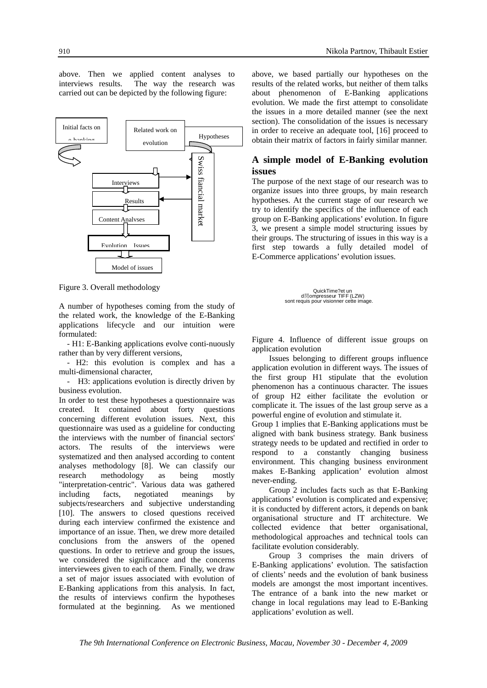above. Then we applied content analyses to interviews results. The way the research was carried out can be depicted by the following figure:



Figure 3. Overall methodology

A number of hypotheses coming from the study of the related work, the knowledge of the E-Banking applications lifecycle and our intuition were formulated:

 - H1: E-Banking applications evolve conti-nuously rather than by very different versions,

 - H2: this evolution is complex and has a multi-dimensional character,

 - H3: applications evolution is directly driven by business evolution.

In order to test these hypotheses a questionnaire was created. It contained about forty questions concerning different evolution issues. Next, this questionnaire was used as a guideline for conducting the interviews with the number of financial sectors' actors. The results of the interviews were systematized and then analysed according to content analyses methodology [8]. We can classify our research methodology as being mostly "interpretation-centric". Various data was gathered including facts, negotiated meanings by subjects/researchers and subjective understanding [10]. The answers to closed questions received during each interview confirmed the existence and importance of an issue. Then, we drew more detailed conclusions from the answers of the opened questions. In order to retrieve and group the issues, we considered the significance and the concerns interviewees given to each of them. Finally, we draw a set of major issues associated with evolution of E-Banking applications from this analysis. In fact, the results of interviews confirm the hypotheses formulated at the beginning. As we mentioned

above, we based partially our hypotheses on the results of the related works, but neither of them talks about phenomenon of E-Banking applications evolution. We made the first attempt to consolidate the issues in a more detailed manner (see the next section). The consolidation of the issues is necessary in order to receive an adequate tool, [16] proceed to obtain their matrix of factors in fairly similar manner.

## **A simple model of E-Banking evolution issues**

The purpose of the next stage of our research was to organize issues into three groups, by main research hypotheses. At the current stage of our research we try to identify the specifics of the influence of each group on E-Banking applications' evolution. In figure 3, we present a simple model structuring issues by their groups. The structuring of issues in this way is a first step towards a fully detailed model of E-Commerce applications' evolution issues.

> QuickTime?et un<br>d閏ompresseur TIFF (LZW) sont requis pour visionner cette image.

Figure 4. Influence of different issue groups on application evolution

Issues belonging to different groups influence application evolution in different ways. The issues of the first group H1 stipulate that the evolution phenomenon has a continuous character. The issues of group H2 either facilitate the evolution or complicate it. The issues of the last group serve as a powerful engine of evolution and stimulate it.

Group 1 implies that E-Banking applications must be aligned with bank business strategy. Bank business strategy needs to be updated and rectified in order to respond to a constantly changing business environment. This changing business environment makes E-Banking application' evolution almost never-ending.

Group 2 includes facts such as that E-Banking applications' evolution is complicated and expensive; it is conducted by different actors, it depends on bank organisational structure and IT architecture. We collected evidence that better organisational, methodological approaches and technical tools can facilitate evolution considerably.

Group 3 comprises the main drivers of E-Banking applications' evolution. The satisfaction of clients' needs and the evolution of bank business models are amongst the most important incentives. The entrance of a bank into the new market or change in local regulations may lead to E-Banking applications' evolution as well.